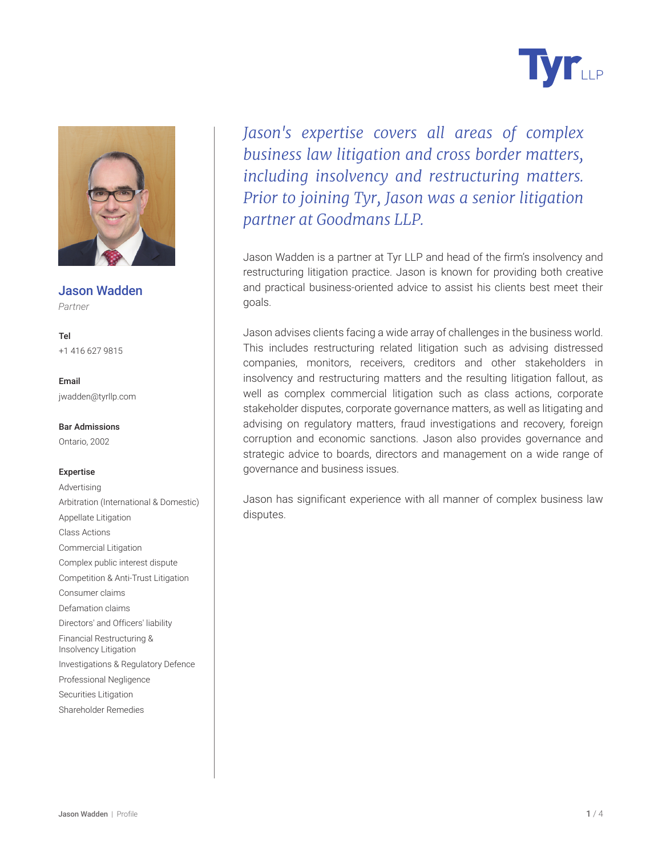



Jason Wadden *Partner*

Tel +1 416 627 9815

Email jwadden@tyrllp.com

Bar Admissions Ontario, 2002

#### Expertise

Advertising Arbitration (International & Domestic) Appellate Litigation Class Actions Commercial Litigation Complex public interest dispute Competition & Anti-Trust Litigation Consumer claims Defamation claims Directors' and Officers' liability Financial Restructuring & Insolvency Litigation Investigations & Regulatory Defence Professional Negligence Securities Litigation Shareholder Remedies

*Jason's expertise covers all areas of complex business law litigation and cross border matters, including insolvency and restructuring matters. Prior to joining Tyr, Jason was a senior litigation partner at Goodmans LLP.*

Jason Wadden is a partner at Tyr LLP and head of the firm's insolvency and restructuring litigation practice. Jason is known for providing both creative and practical business-oriented advice to assist his clients best meet their goals.

Jason advises clients facing a wide array of challenges in the business world. This includes restructuring related litigation such as advising distressed companies, monitors, receivers, creditors and other stakeholders in insolvency and restructuring matters and the resulting litigation fallout, as well as complex commercial litigation such as class actions, corporate stakeholder disputes, corporate governance matters, as well as litigating and advising on regulatory matters, fraud investigations and recovery, foreign corruption and economic sanctions. Jason also provides governance and strategic advice to boards, directors and management on a wide range of governance and business issues.

Jason has significant experience with all manner of complex business law disputes.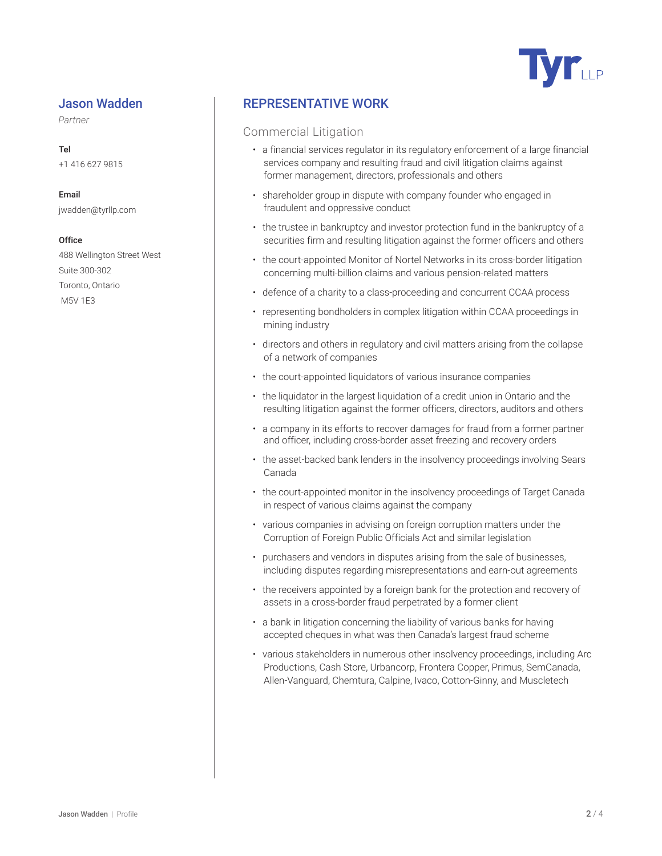

## Jason Wadden

*Partner*

Tel +1 416 627 9815

Email jwadden@tyrllp.com

#### **Office**

488 Wellington Street West Suite 300-302 Toronto, Ontario M5V 1E3

# REPRESENTATIVE WORK

### Commercial Litigation

- a financial services regulator in its regulatory enforcement of a large financial services company and resulting fraud and civil litigation claims against former management, directors, professionals and others
- shareholder group in dispute with company founder who engaged in fraudulent and oppressive conduct
- the trustee in bankruptcy and investor protection fund in the bankruptcy of a securities firm and resulting litigation against the former officers and others
- the court-appointed Monitor of Nortel Networks in its cross-border litigation concerning multi-billion claims and various pension-related matters
- defence of a charity to a class-proceeding and concurrent CCAA process
- representing bondholders in complex litigation within CCAA proceedings in mining industry
- directors and others in regulatory and civil matters arising from the collapse of a network of companies
- the court-appointed liquidators of various insurance companies
- the liquidator in the largest liquidation of a credit union in Ontario and the resulting litigation against the former officers, directors, auditors and others
- a company in its efforts to recover damages for fraud from a former partner and officer, including cross-border asset freezing and recovery orders
- the asset-backed bank lenders in the insolvency proceedings involving Sears Canada
- the court-appointed monitor in the insolvency proceedings of Target Canada in respect of various claims against the company
- various companies in advising on foreign corruption matters under the Corruption of Foreign Public Officials Act and similar legislation
- purchasers and vendors in disputes arising from the sale of businesses, including disputes regarding misrepresentations and earn-out agreements
- the receivers appointed by a foreign bank for the protection and recovery of assets in a cross-border fraud perpetrated by a former client
- a bank in litigation concerning the liability of various banks for having accepted cheques in what was then Canada's largest fraud scheme
- various stakeholders in numerous other insolvency proceedings, including Arc Productions, Cash Store, Urbancorp, Frontera Copper, Primus, SemCanada, Allen-Vanguard, Chemtura, Calpine, Ivaco, Cotton-Ginny, and Muscletech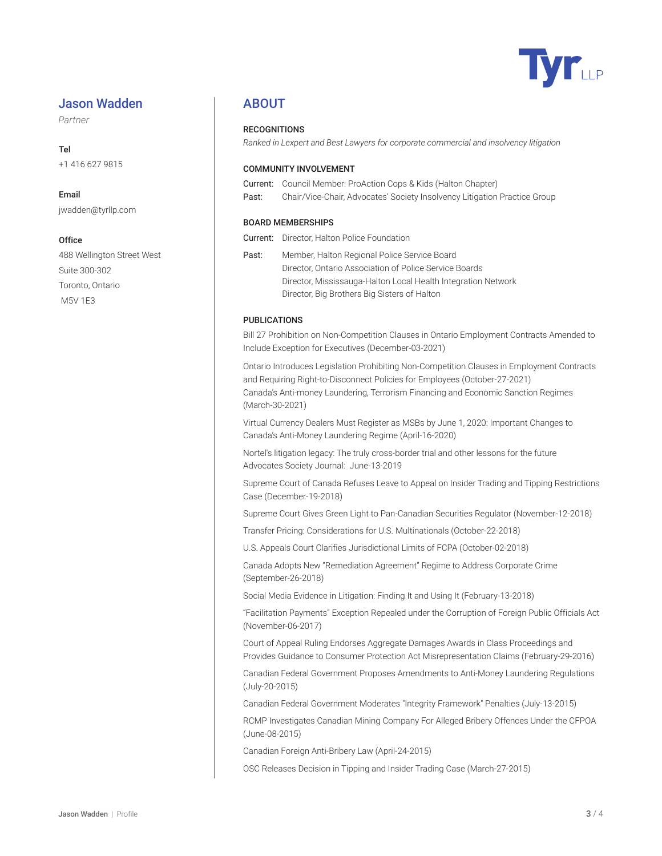

## Jason Wadden

*Partner*

Tel +1 416 627 9815

Email jwadden@tyrllp.com

#### **Office**

488 Wellington Street West Suite 300-302 Toronto, Ontario M5V 1E3

# ABOUT

#### **RECOGNITIONS**

*Ranked in Lexpert and Best Lawyers for corporate commercial and insolvency litigation*

#### COMMUNITY INVOLVEMENT

|       | <b>Current:</b> Council Member: ProAction Cops & Kids (Halton Chapter)    |
|-------|---------------------------------------------------------------------------|
| Past: | Chair/Vice-Chair, Advocates' Society Insolvency Litigation Practice Group |

#### BOARD MEMBERSHIPS

Current: Director, Halton Police Foundation

Past: Member, Halton Regional Police Service Board Director, Ontario Association of Police Service Boards Director, Mississauga-Halton Local Health Integration Network Director, Big Brothers Big Sisters of Halton

#### PUBLICATIONS

Bill 27 Prohibition on Non-Competition Clauses in Ontario Employment Contracts Amended to Include Exception for Executives (December-03-2021)

Ontario Introduces Legislation Prohibiting Non-Competition Clauses in Employment Contracts and Requiring Right-to-Disconnect Policies for Employees (October-27-2021) Canada's Anti-money Laundering, Terrorism Financing and Economic Sanction Regimes (March-30-2021)

Virtual Currency Dealers Must Register as MSBs by June 1, 2020: Important Changes to Canada's Anti-Money Laundering Regime (April-16-2020)

Nortel's litigation legacy: The truly cross-border trial and other lessons for the future Advocates Society Journal: June-13-2019

Supreme Court of Canada Refuses Leave to Appeal on Insider Trading and Tipping Restrictions Case (December-19-2018)

Supreme Court Gives Green Light to Pan-Canadian Securities Regulator (November-12-2018)

Transfer Pricing: Considerations for U.S. Multinationals (October-22-2018)

U.S. Appeals Court Clarifies Jurisdictional Limits of FCPA (October-02-2018)

Canada Adopts New "Remediation Agreement" Regime to Address Corporate Crime (September-26-2018)

Social Media Evidence in Litigation: Finding It and Using It (February-13-2018)

"Facilitation Payments" Exception Repealed under the Corruption of Foreign Public Officials Act (November-06-2017)

Court of Appeal Ruling Endorses Aggregate Damages Awards in Class Proceedings and Provides Guidance to Consumer Protection Act Misrepresentation Claims (February-29-2016)

Canadian Federal Government Proposes Amendments to Anti-Money Laundering Regulations (July-20-2015)

Canadian Federal Government Moderates "Integrity Framework" Penalties (July-13-2015)

RCMP Investigates Canadian Mining Company For Alleged Bribery Offences Under the CFPOA (June-08-2015)

Canadian Foreign Anti-Bribery Law (April-24-2015)

OSC Releases Decision in Tipping and Insider Trading Case (March-27-2015)